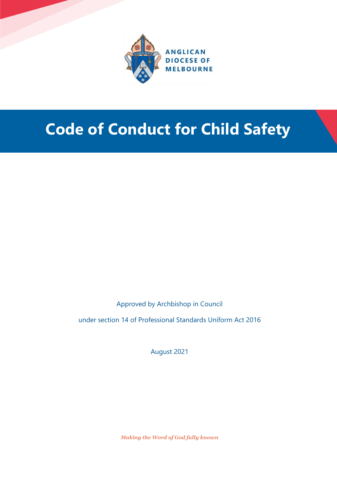

## **Code of Conduct for Child Safety**

Approved by Archbishop in Council

under section 14 of Professional Standards Uniform Act 2016

August 2021

*Making the Word of God fully known*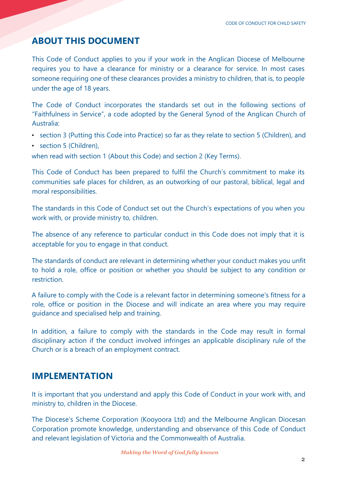## **ABOUT THIS DOCUMENT**

This Code of Conduct applies to you if your work in the Anglican Diocese of Melbourne requires you to have a clearance for ministry or a clearance for service. In most cases someone requiring one of these clearances provides a ministry to children, that is, to people under the age of 18 years.

The Code of Conduct incorporates the standards set out in the following sections of "Faithfulness in Service", a code adopted by the General Synod of the Anglican Church of Australia:

- section 3 (Putting this Code into Practice) so far as they relate to section 5 (Children), and
- section 5 (Children),

when read with section 1 (About this Code) and section 2 (Key Terms).

This Code of Conduct has been prepared to fulfil the Church's commitment to make its communities safe places for children, as an outworking of our pastoral, biblical, legal and moral responsibilities.

The standards in this Code of Conduct set out the Church's expectations of you when you work with, or provide ministry to, children.

The absence of any reference to particular conduct in this Code does not imply that it is acceptable for you to engage in that conduct.

The standards of conduct are relevant in determining whether your conduct makes you unfit to hold a role, office or position or whether you should be subject to any condition or restriction.

A failure to comply with the Code is a relevant factor in determining someone's fitness for a role, office or position in the Diocese and will indicate an area where you may require guidance and specialised help and training.

In addition, a failure to comply with the standards in the Code may result in formal disciplinary action if the conduct involved infringes an applicable disciplinary rule of the Church or is a breach of an employment contract.

## **IMPLEMENTATION**

It is important that you understand and apply this Code of Conduct in your work with, and ministry to, children in the Diocese.

The Diocese's Scheme Corporation (Kooyoora Ltd) and the Melbourne Anglican Diocesan Corporation promote knowledge, understanding and observance of this Code of Conduct and relevant legislation of Victoria and the Commonwealth of Australia.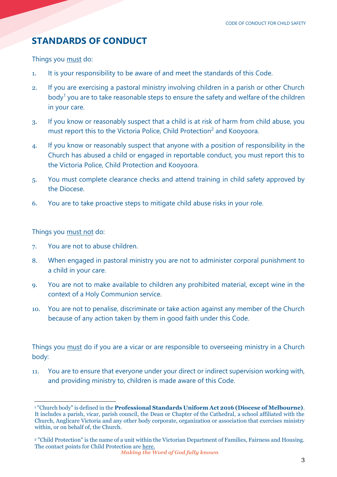## **STANDARDS OF CONDUCT**

Things you must do:

- 1. It is your responsibility to be aware of and meet the standards of this Code.
- 2. If you are exercising a pastoral ministry involving children in a parish or other Church body<sup>1</sup> you are to take reasonable steps to ensure the safety and welfare of the children in your care.
- 3. If you know or reasonably suspect that a child is at risk of harm from child abuse, you must report this to the Victoria Police, Child Protection<sup>2</sup> and Kooyoora.
- 4. If you know or reasonably suspect that anyone with a position of responsibility in the Church has abused a child or engaged in reportable conduct, you must report this to the Victoria Police, Child Protection and Kooyoora.
- 5. You must complete clearance checks and attend training in child safety approved by the Diocese.
- 6. You are to take proactive steps to mitigate child abuse risks in your role.

Things you must not do:

- 7. You are not to abuse children.
- 8. When engaged in pastoral ministry you are not to administer corporal punishment to a child in your care.
- 9. You are not to make available to children any prohibited material, except wine in the context of a Holy Communion service.
- 10. You are not to penalise, discriminate or take action against any member of the Church because of any action taken by them in good faith under this Code.

Things you must do if you are a vicar or are responsible to overseeing ministry in a Church body:

11. You are to ensure that everyone under your direct or indirect supervision working with, and providing ministry to, children is made aware of this Code.

 $\overline{a}$ <sup>1</sup> "Church body" is defined in the **Professional Standards Uniform Act 2016 (Diocese of Melbourne)**. It includes a parish, vicar, parish council, the Dean or Chapter of the Cathedral, a school affiliated with the Church, Anglicare Victoria and any other body corporate, organization or association that exercises ministry within, or on behalf of, the Church.

<sup>2</sup> "Child Protection" is the name of a unit within the Victorian Department of Families, Fairness and Housing. The contact points for Child Protection ar[e here.](https://services.dffh.vic.gov.au/child-protection-contacts)